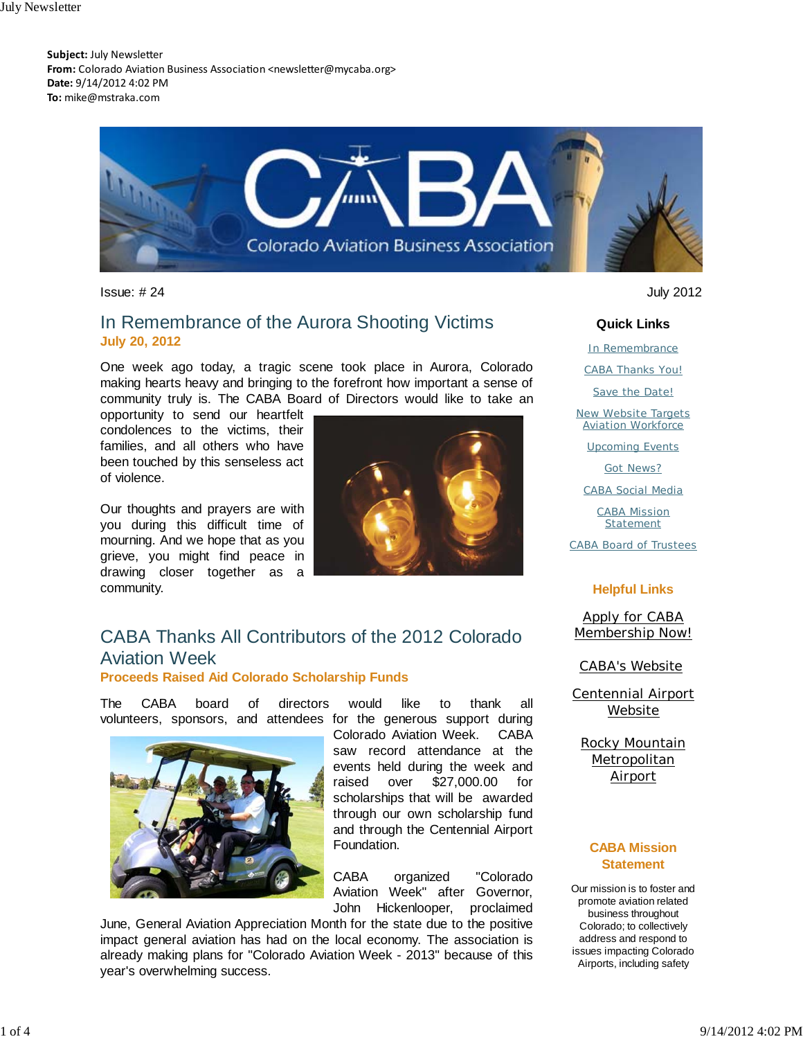**Subject:** July Newsletter From: Colorado Aviation Business Association <newsletter@mycaba.org> **Date:** 9/14/2012 4:02 PM **To:** mike@mstraka.com



Issue: # 24 July 2012

### In Remembrance of the Aurora Shooting Victims **July 20, 2012**

One week ago today, a tragic scene took place in Aurora, Colorado making hearts heavy and bringing to the forefront how important a sense of community truly is. The CABA Board of Directors would like to take an

opportunity to send our heartfelt condolences to the victims, their families, and all others who have been touched by this senseless act of violence.

Our thoughts and prayers are with you during this difficult time of mourning. And we hope that as you grieve, you might find peace in drawing closer together as a community.



# CABA Thanks All Contributors of the 2012 Colorado Aviation Week

**Proceeds Raised Aid Colorado Scholarship Funds**

The CABA board of directors would like to thank all volunteers, sponsors, and attendees for the generous support during



Colorado Aviation Week. CABA saw record attendance at the events held during the week and raised over \$27,000.00 for scholarships that will be awarded through our own scholarship fund and through the Centennial Airport Foundation.

CABA organized "Colorado Aviation Week" after Governor, John Hickenlooper, proclaimed

June, General Aviation Appreciation Month for the state due to the positive impact general aviation has had on the local economy. The association is already making plans for "Colorado Aviation Week - 2013" because of this year's overwhelming success.

**Quick Links** In Remembrance CABA Thanks You! Save the Date! New Website Targets **Aviation Workforce** Upcoming Events Got News? CABA Social Media CABA Mission **Statement** 

CABA Board of Trustees

#### **Helpful Links**

Apply for CABA Membership Now!

CABA's Website

Centennial Airport Website

Rocky Mountain Metropolitan Airport

#### **CABA Mission Statement**

Our mission is to foster and promote aviation related business throughout Colorado; to collectively address and respond to issues impacting Colorado Airports, including safety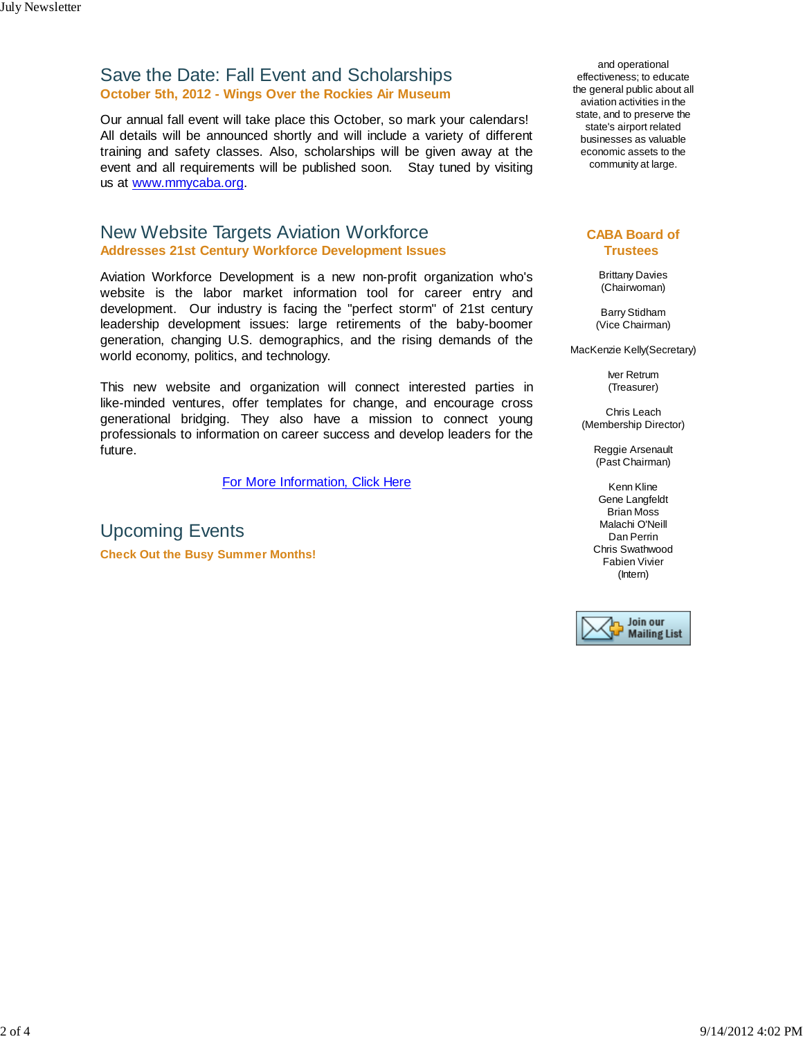### Save the Date: Fall Event and Scholarships **October 5th, 2012 - Wings Over the Rockies Air Museum**

Our annual fall event will take place this October, so mark your calendars! All details will be announced shortly and will include a variety of different training and safety classes. Also, scholarships will be given away at the event and all requirements will be published soon. Stay tuned by visiting us at www.mmycaba.org.

### New Website Targets Aviation Workforce **Addresses 21st Century Workforce Development Issues**

Aviation Workforce Development is a new non-profit organization who's website is the labor market information tool for career entry and development. Our industry is facing the "perfect storm" of 21st century leadership development issues: large retirements of the baby-boomer generation, changing U.S. demographics, and the rising demands of the world economy, politics, and technology.

This new website and organization will connect interested parties in like-minded ventures, offer templates for change, and encourage cross generational bridging. They also have a mission to connect young professionals to information on career success and develop leaders for the future.

For More Information, Click Here

Upcoming Events **Check Out the Busy Summer Months!**

and operational effectiveness; to educate the general public about all aviation activities in the state, and to preserve the state's airport related businesses as valuable economic assets to the community at large.

#### **CABA Board of Trustees**

Brittany Davies (Chairwoman)

Barry Stidham (Vice Chairman)

MacKenzie Kelly(Secretary)

Iver Retrum (Treasurer)

Chris Leach (Membership Director)

> Reggie Arsenault (Past Chairman)

Kenn Kline Gene Langfeldt Brian Moss Malachi O'Neill Dan Perrin Chris Swathwood Fabien Vivier (Intern)

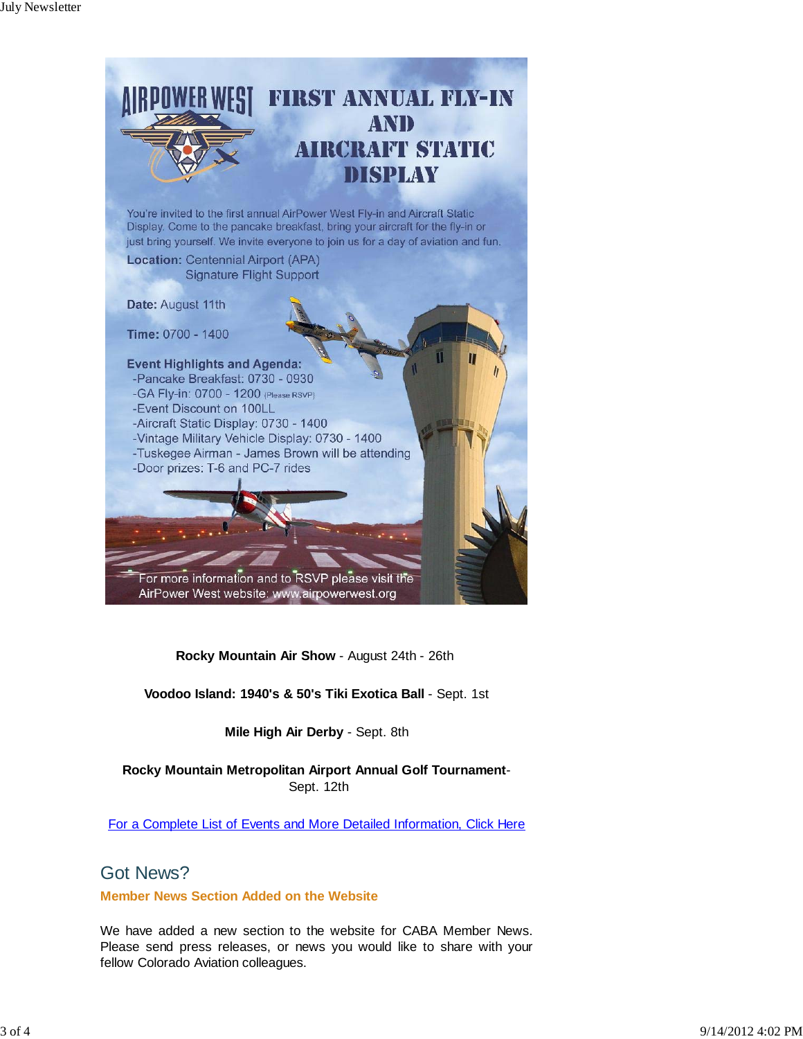

**Rocky Mountain Air Show** - August 24th - 26th

**Voodoo Island: 1940's & 50's Tiki Exotica Ball** - Sept. 1st

**Mile High Air Derby** - Sept. 8th

**Rocky Mountain Metropolitan Airport Annual Golf Tournament**- Sept. 12th

For a Complete List of Events and More Detailed Information, Click Here

## Got News?

**Member News Section Added on the Website**

We have added a new section to the website for CABA Member News. Please send press releases, or news you would like to share with your fellow Colorado Aviation colleagues.